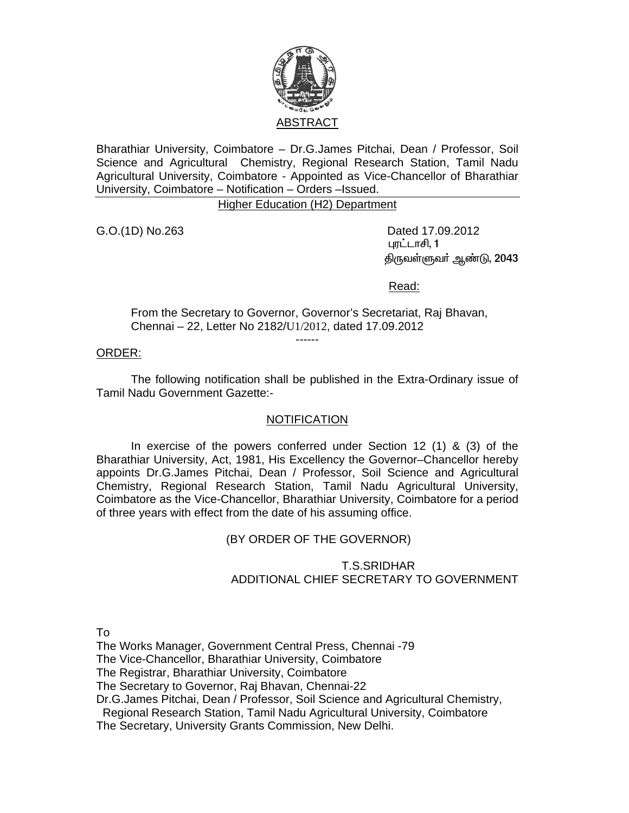

Bharathiar University, Coimbatore – Dr.G.James Pitchai, Dean / Professor, Soil Science and Agricultural Chemistry, Regional Research Station, Tamil Nadu Agricultural University, Coimbatore - Appointed as Vice-Chancellor of Bharathiar University, Coimbatore – Notification – Orders –Issued.

Higher Education (H2) Department

G.O.(1D) No.263 Dated 17.09.2012 புரட்டாசி, 1 திருவள்ளுவா் ஆண்டு, 2043

Read:

From the Secretary to Governor, Governor's Secretariat, Raj Bhavan, Chennai – 22, Letter No 2182/U1/2012, dated 17.09.2012

------

## ORDER:

 The following notification shall be published in the Extra-Ordinary issue of Tamil Nadu Government Gazette:-

## **NOTIFICATION**

 In exercise of the powers conferred under Section 12 (1) & (3) of the Bharathiar University, Act, 1981, His Excellency the Governor–Chancellor hereby appoints Dr.G.James Pitchai, Dean / Professor, Soil Science and Agricultural Chemistry, Regional Research Station, Tamil Nadu Agricultural University, Coimbatore as the Vice-Chancellor, Bharathiar University, Coimbatore for a period of three years with effect from the date of his assuming office.

(BY ORDER OF THE GOVERNOR)

## T.S.SRIDHAR ADDITIONAL CHIEF SECRETARY TO GOVERNMENT

To

The Works Manager, Government Central Press, Chennai -79

The Vice-Chancellor, Bharathiar University, Coimbatore

The Registrar, Bharathiar University, Coimbatore

The Secretary to Governor, Raj Bhavan, Chennai-22

Dr.G.James Pitchai, Dean / Professor, Soil Science and Agricultural Chemistry,

Regional Research Station, Tamil Nadu Agricultural University, Coimbatore

The Secretary, University Grants Commission, New Delhi.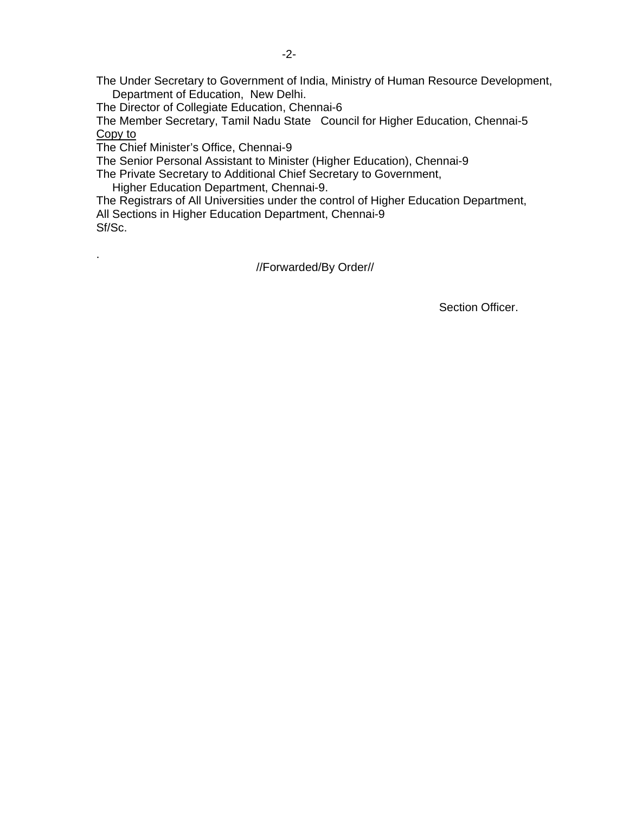The Under Secretary to Government of India, Ministry of Human Resource Development, Department of Education, New Delhi.

The Director of Collegiate Education, Chennai-6

The Member Secretary, Tamil Nadu State Council for Higher Education, Chennai-5 Copy to

The Chief Minister's Office, Chennai-9

.

The Senior Personal Assistant to Minister (Higher Education), Chennai-9

The Private Secretary to Additional Chief Secretary to Government,

Higher Education Department, Chennai-9.

The Registrars of All Universities under the control of Higher Education Department, All Sections in Higher Education Department, Chennai-9 Sf/Sc.

//Forwarded/By Order//

Section Officer.